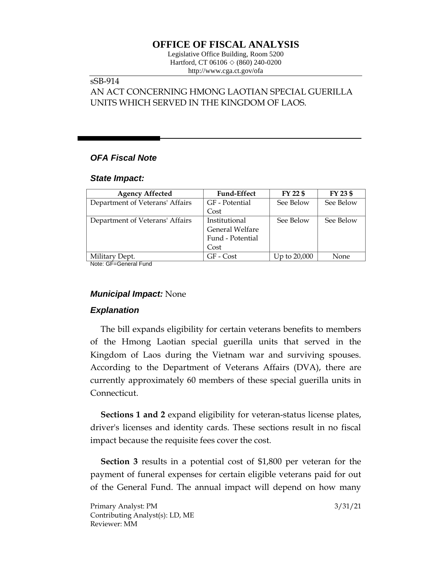# **OFFICE OF FISCAL ANALYSIS**

Legislative Office Building, Room 5200 Hartford, CT 06106 ◇ (860) 240-0200 http://www.cga.ct.gov/ofa

## sSB-914

## AN ACT CONCERNING HMONG LAOTIAN SPECIAL GUERILLA UNITS WHICH SERVED IN THE KINGDOM OF LAOS.

## *OFA Fiscal Note*

#### *State Impact:*

| <b>Agency Affected</b>          | <b>Fund-Effect</b> | FY 22 \$     | FY 23 \$  |
|---------------------------------|--------------------|--------------|-----------|
| Department of Veterans' Affairs | GF - Potential     | See Below    | See Below |
|                                 | Cost               |              |           |
| Department of Veterans' Affairs | Institutional      | See Below    | See Below |
|                                 | General Welfare    |              |           |
|                                 | Fund - Potential   |              |           |
|                                 | Cost               |              |           |
| Military Dept.                  | GF - Cost          | Up to 20,000 | None      |

Note: GF=General Fund

#### *Municipal Impact:* None

#### *Explanation*

The bill expands eligibility for certain veterans benefits to members of the Hmong Laotian special guerilla units that served in the Kingdom of Laos during the Vietnam war and surviving spouses. According to the Department of Veterans Affairs (DVA), there are currently approximately 60 members of these special guerilla units in Connecticut.

**Sections 1 and 2** expand eligibility for veteran-status license plates, driver's licenses and identity cards. These sections result in no fiscal impact because the requisite fees cover the cost.

**Section 3** results in a potential cost of \$1,800 per veteran for the payment of funeral expenses for certain eligible veterans paid for out of the General Fund. The annual impact will depend on how many